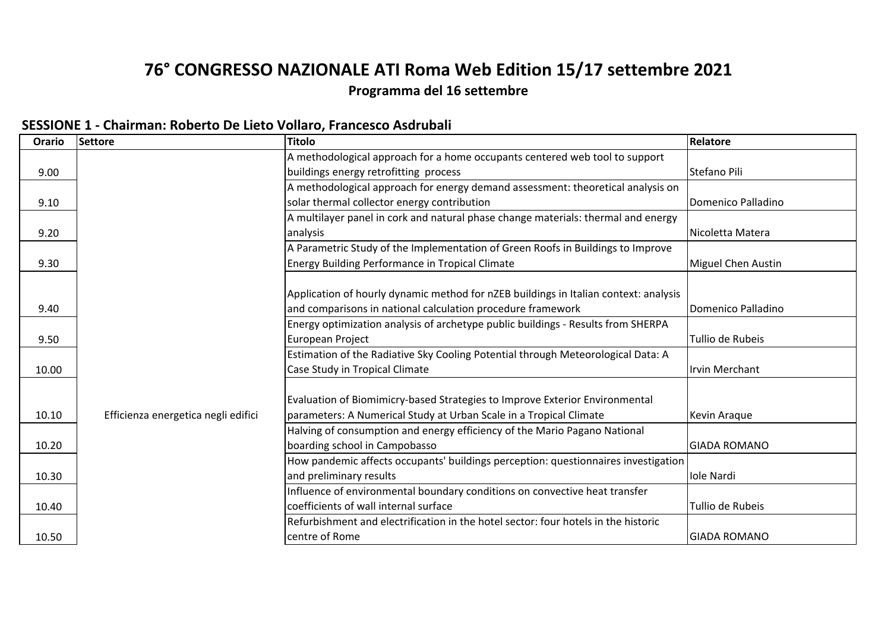# **76° CONGRESSO NAZIONALE ATI Roma Web Edition 15/17 settembre 2021**

# **Programma del 16 settembre**

| SESSIONE 1 - Chairman: Roberto De Lieto Vollaro, Francesco Asdrubali |
|----------------------------------------------------------------------|
|----------------------------------------------------------------------|

| Orario | Settore                             | <b>Titolo</b>                                                                        | Relatore                  |
|--------|-------------------------------------|--------------------------------------------------------------------------------------|---------------------------|
|        |                                     | A methodological approach for a home occupants centered web tool to support          |                           |
| 9.00   |                                     | buildings energy retrofitting process                                                | Stefano Pili              |
|        |                                     | A methodological approach for energy demand assessment: theoretical analysis on      |                           |
| 9.10   |                                     | solar thermal collector energy contribution                                          | Domenico Palladino        |
|        |                                     | A multilayer panel in cork and natural phase change materials: thermal and energy    |                           |
| 9.20   |                                     | analysis                                                                             | Nicoletta Matera          |
|        |                                     | A Parametric Study of the Implementation of Green Roofs in Buildings to Improve      |                           |
| 9.30   |                                     | <b>Energy Building Performance in Tropical Climate</b>                               | <b>Miguel Chen Austin</b> |
|        |                                     |                                                                                      |                           |
|        |                                     | Application of hourly dynamic method for nZEB buildings in Italian context: analysis |                           |
| 9.40   |                                     | and comparisons in national calculation procedure framework                          | Domenico Palladino        |
|        |                                     | Energy optimization analysis of archetype public buildings - Results from SHERPA     |                           |
| 9.50   |                                     | European Project                                                                     | Tullio de Rubeis          |
|        |                                     | Estimation of the Radiative Sky Cooling Potential through Meteorological Data: A     |                           |
| 10.00  |                                     | Case Study in Tropical Climate                                                       | Irvin Merchant            |
|        |                                     |                                                                                      |                           |
|        |                                     | Evaluation of Biomimicry-based Strategies to Improve Exterior Environmental          |                           |
| 10.10  | Efficienza energetica negli edifici | parameters: A Numerical Study at Urban Scale in a Tropical Climate                   | Kevin Araque              |
|        |                                     | Halving of consumption and energy efficiency of the Mario Pagano National            |                           |
| 10.20  |                                     | boarding school in Campobasso                                                        | <b>GIADA ROMANO</b>       |
|        |                                     | How pandemic affects occupants' buildings perception: questionnaires investigation   |                           |
| 10.30  |                                     | and preliminary results                                                              | Iole Nardi                |
|        |                                     | Influence of environmental boundary conditions on convective heat transfer           |                           |
| 10.40  |                                     | coefficients of wall internal surface                                                | Tullio de Rubeis          |
|        |                                     | Refurbishment and electrification in the hotel sector: four hotels in the historic   |                           |
| 10.50  |                                     | centre of Rome                                                                       | <b>GIADA ROMANO</b>       |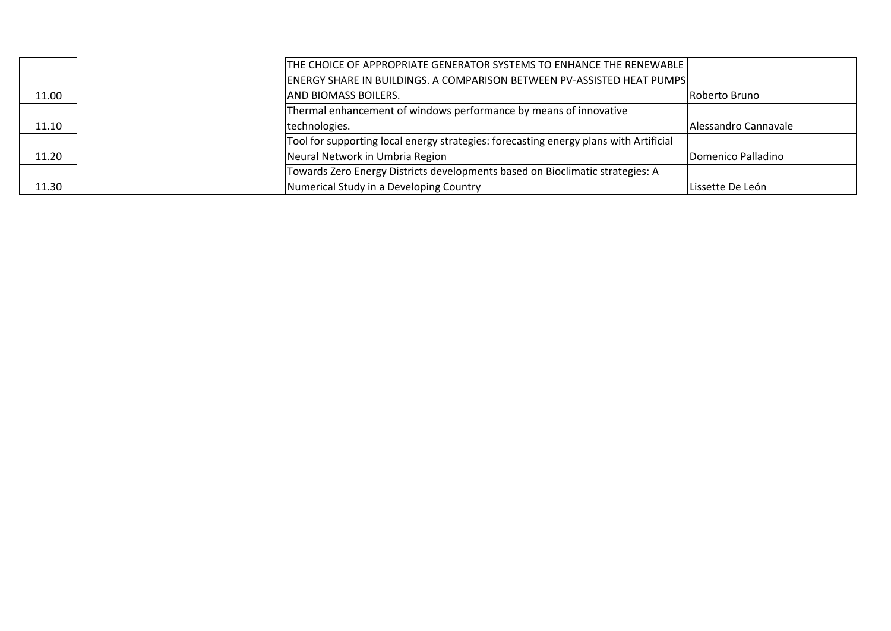|       | THE CHOICE OF APPROPRIATE GENERATOR SYSTEMS TO ENHANCE THE RENEWABLE I                |                       |
|-------|---------------------------------------------------------------------------------------|-----------------------|
|       | <b>ENERGY SHARE IN BUILDINGS. A COMPARISON BETWEEN PV-ASSISTED HEAT PUMPS</b>         |                       |
| 11.00 | <b>AND BIOMASS BOILERS.</b>                                                           | <b>IRoberto Bruno</b> |
|       | Thermal enhancement of windows performance by means of innovative                     |                       |
| 11.10 | technologies.                                                                         | IAlessandro Cannavale |
|       | Tool for supporting local energy strategies: forecasting energy plans with Artificial |                       |
| 11.20 | Neural Network in Umbria Region                                                       | Domenico Palladino    |
|       | Towards Zero Energy Districts developments based on Bioclimatic strategies: A         |                       |
| 11.30 | Numerical Study in a Developing Country                                               | Lissette De León      |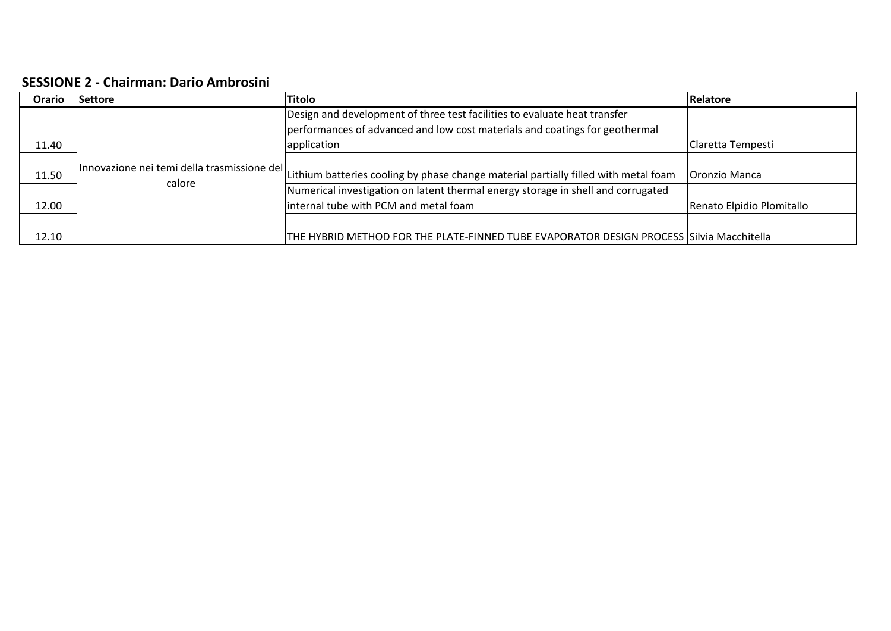#### **SESSIONE 2 ‐ Chairman: Dario Ambrosini**

| Orario | <b>Settore</b>                              | <b>Titolo</b>                                                                            | Relatore                  |
|--------|---------------------------------------------|------------------------------------------------------------------------------------------|---------------------------|
|        |                                             | Design and development of three test facilities to evaluate heat transfer                |                           |
|        |                                             | performances of advanced and low cost materials and coatings for geothermal              |                           |
| 11.40  |                                             | application                                                                              | Claretta Tempesti         |
| 11.50  | Innovazione nei temi della trasmissione del |                                                                                          |                           |
|        | calore                                      | Lithium batteries cooling by phase change material partially filled with metal foam      | Oronzio Manca             |
|        |                                             | Numerical investigation on latent thermal energy storage in shell and corrugated         |                           |
| 12.00  |                                             | internal tube with PCM and metal foam                                                    | Renato Elpidio Plomitallo |
|        |                                             |                                                                                          |                           |
| 12.10  |                                             | THE HYBRID METHOD FOR THE PLATE-FINNED TUBE EVAPORATOR DESIGN PROCESS Silvia Macchitella |                           |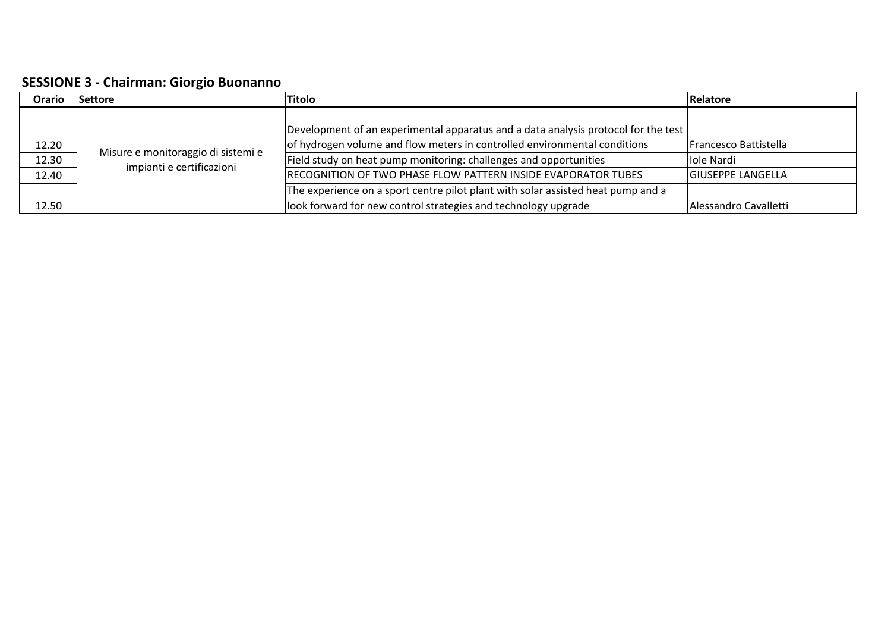**SESSIONE 3 ‐ Chairman: Giorgio Buonanno**

| Orario                         | <b>Titolo</b><br><b>Settore</b>                                 |                                                                                                                                                                                                                                                                                                       | Relatore                                                        |
|--------------------------------|-----------------------------------------------------------------|-------------------------------------------------------------------------------------------------------------------------------------------------------------------------------------------------------------------------------------------------------------------------------------------------------|-----------------------------------------------------------------|
| $\frac{12.20}{12.30}$<br>12.40 | Misure e monitoraggio di sistemi e<br>impianti e certificazioni | Development of an experimental apparatus and a data analysis protocol for the test<br>of hydrogen volume and flow meters in controlled environmental conditions<br>Field study on heat pump monitoring: challenges and opportunities<br>RECOGNITION OF TWO PHASE FLOW PATTERN INSIDE EVAPORATOR TUBES | Francesco Battistella<br>lole Nardi<br><b>GIUSEPPE LANGELLA</b> |
| 12.50                          |                                                                 | The experience on a sport centre pilot plant with solar assisted heat pump and a<br>look forward for new control strategies and technology upgrade                                                                                                                                                    | Alessandro Cavalletti                                           |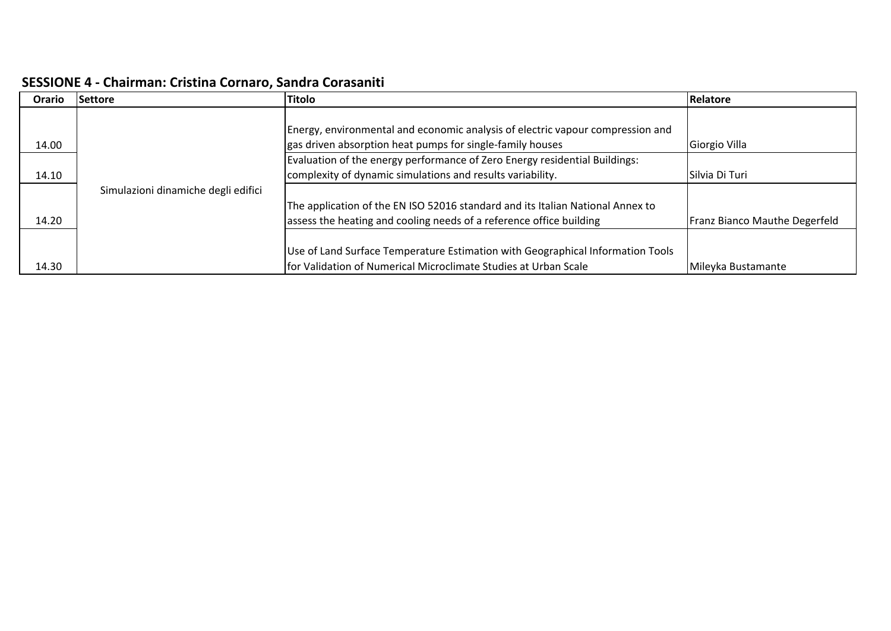### **SESSIONE 4 ‐ Chairman: Cristina Cornaro, Sandra Corasaniti**

| Orario | <b>Settore</b>                      | <b>Titolo</b>                                                                  | Relatore                      |
|--------|-------------------------------------|--------------------------------------------------------------------------------|-------------------------------|
|        |                                     |                                                                                |                               |
|        |                                     | Energy, environmental and economic analysis of electric vapour compression and |                               |
| 14.00  |                                     | gas driven absorption heat pumps for single-family houses                      | Giorgio Villa                 |
|        |                                     | Evaluation of the energy performance of Zero Energy residential Buildings:     |                               |
| 14.10  |                                     | complexity of dynamic simulations and results variability.                     | Silvia Di Turi                |
|        | Simulazioni dinamiche degli edifici |                                                                                |                               |
|        |                                     | The application of the EN ISO 52016 standard and its Italian National Annex to |                               |
| 14.20  |                                     | assess the heating and cooling needs of a reference office building            | Franz Bianco Mauthe Degerfeld |
|        |                                     |                                                                                |                               |
|        |                                     | Use of Land Surface Temperature Estimation with Geographical Information Tools |                               |
| 14.30  |                                     | for Validation of Numerical Microclimate Studies at Urban Scale                | Mileyka Bustamante            |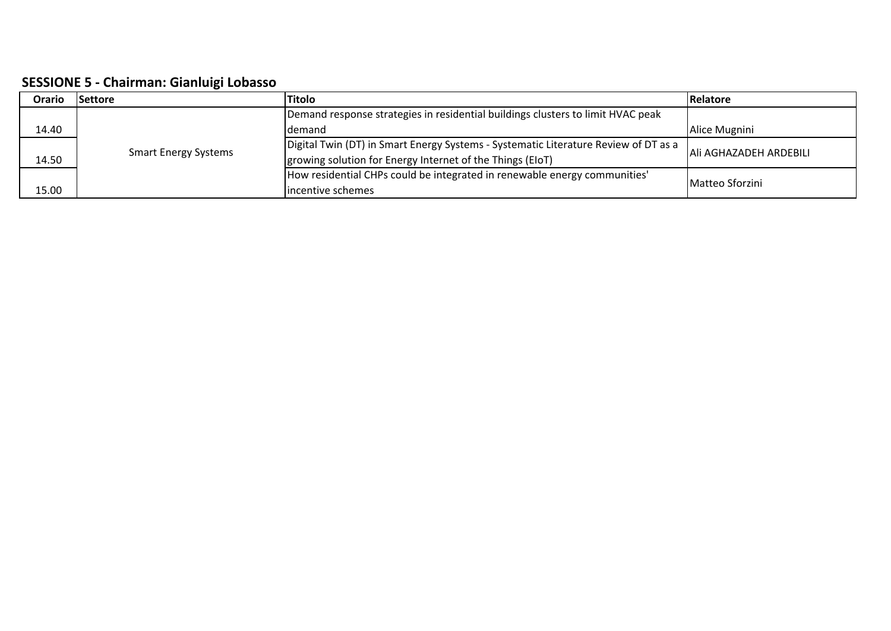**SESSIONE 5 ‐ Chairman: Gianluigi Lobasso**

| Orario | <b>Settore</b>              | <b>Titolo</b>                                                                       | <b>Relatore</b>        |
|--------|-----------------------------|-------------------------------------------------------------------------------------|------------------------|
|        |                             | Demand response strategies in residential buildings clusters to limit HVAC peak     |                        |
| 14.40  |                             | demand                                                                              | Alice Mugnini          |
|        | <b>Smart Energy Systems</b> | Digital Twin (DT) in Smart Energy Systems - Systematic Literature Review of DT as a | Ali AGHAZADEH ARDEBILI |
| 14.50  |                             | growing solution for Energy Internet of the Things (EIoT)                           |                        |
|        |                             | How residential CHPs could be integrated in renewable energy communities'           | Matteo Sforzini        |
| 15.00  |                             | lincentive schemes                                                                  |                        |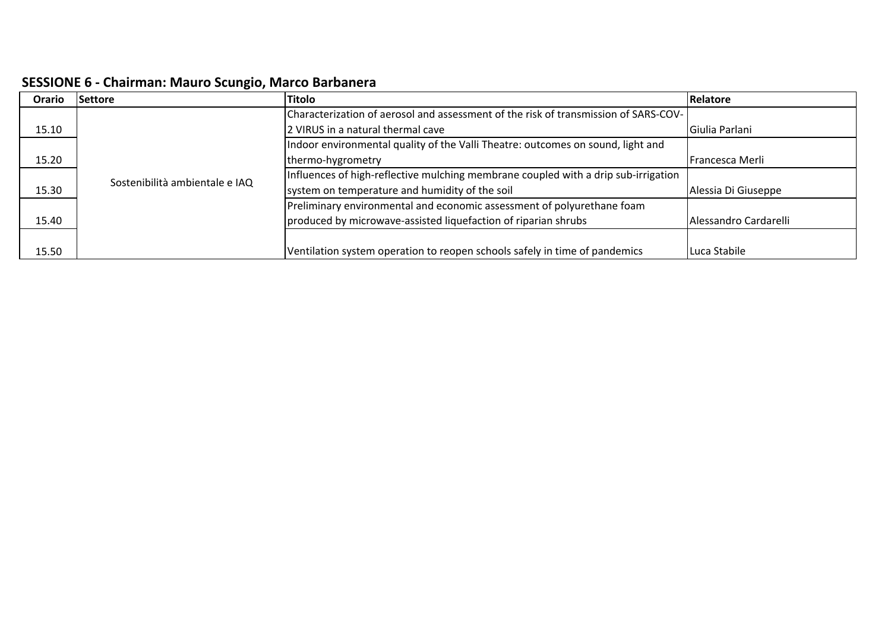| <b>SESSIONE 6 - Chairman: Mauro Scungio, Marco Barbanera</b> |  |  |  |  |  |
|--------------------------------------------------------------|--|--|--|--|--|
|--------------------------------------------------------------|--|--|--|--|--|

| Orario | <b>Settore</b>                 | <b>Titolo</b>                                                                       | <b>Relatore</b>       |
|--------|--------------------------------|-------------------------------------------------------------------------------------|-----------------------|
|        |                                | Characterization of aerosol and assessment of the risk of transmission of SARS-COV- |                       |
| 15.10  |                                | 2 VIRUS in a natural thermal cave                                                   | Giulia Parlani        |
|        |                                | Indoor environmental quality of the Valli Theatre: outcomes on sound, light and     |                       |
| 15.20  | Sostenibilità ambientale e IAQ | thermo-hygrometry                                                                   | Francesca Merli       |
|        |                                | Influences of high-reflective mulching membrane coupled with a drip sub-irrigation  |                       |
| 15.30  |                                | system on temperature and humidity of the soil                                      | Alessia Di Giuseppe   |
|        |                                | Preliminary environmental and economic assessment of polyurethane foam              |                       |
| 15.40  |                                | produced by microwave-assisted liquefaction of riparian shrubs                      | Alessandro Cardarelli |
|        |                                |                                                                                     |                       |
| 15.50  |                                | Ventilation system operation to reopen schools safely in time of pandemics          | Luca Stabile          |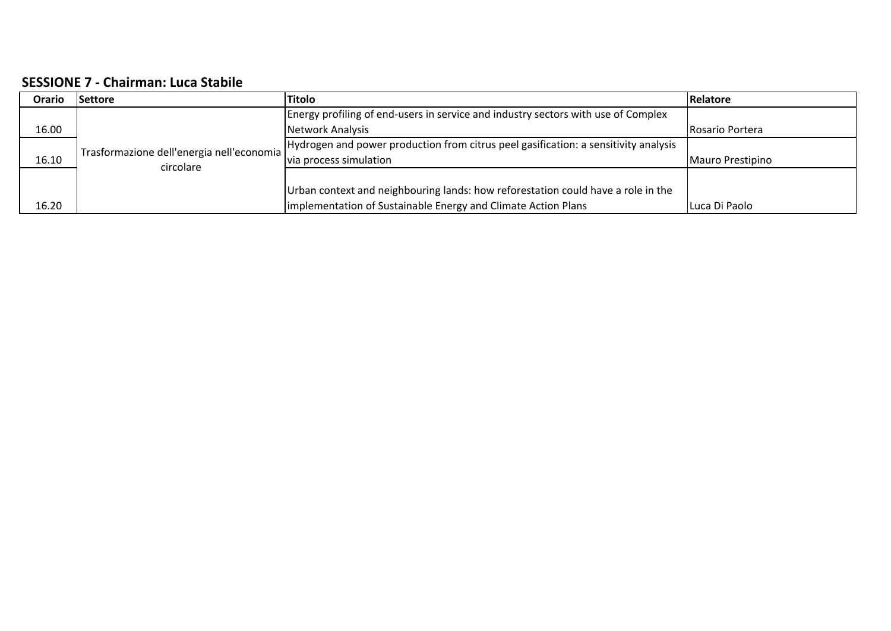## **SESSIONE 7 ‐ Chairman: Luca Stabile**

| Orario | <b>Settore</b>                            | <b>Titolo</b>                                                                       | Relatore         |
|--------|-------------------------------------------|-------------------------------------------------------------------------------------|------------------|
|        |                                           | Energy profiling of end-users in service and industry sectors with use of Complex   |                  |
| 16.00  |                                           | Network Analysis                                                                    | Rosario Portera  |
|        | Trasformazione dell'energia nell'economia | Hydrogen and power production from citrus peel gasification: a sensitivity analysis |                  |
| 16.10  | circolare                                 | via process simulation                                                              | Mauro Prestipino |
|        |                                           |                                                                                     |                  |
|        |                                           | Urban context and neighbouring lands: how reforestation could have a role in the    |                  |
| 16.20  |                                           | implementation of Sustainable Energy and Climate Action Plans                       | Luca Di Paolo    |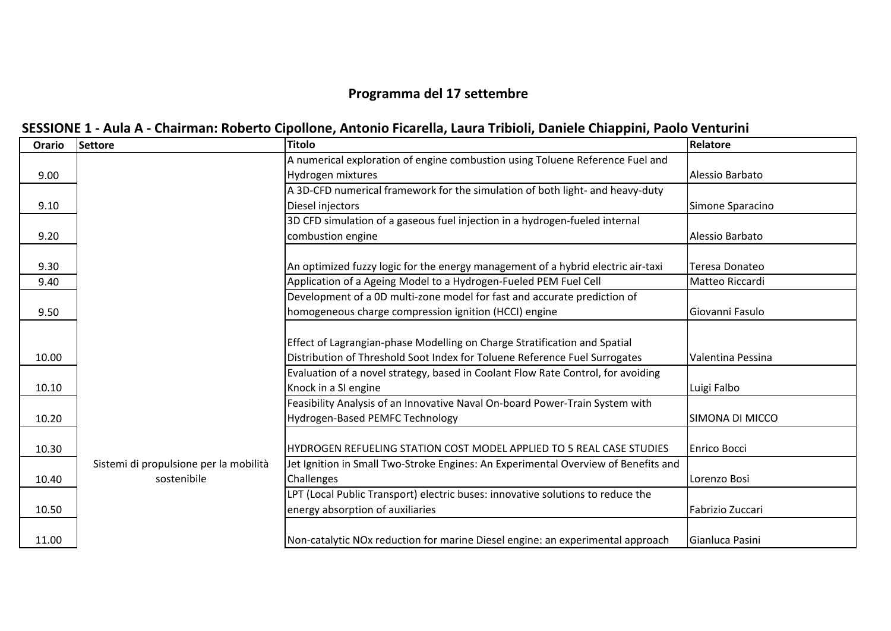## **Programma del 17 settembre**

|  |  |  | SESSIONE 1 - Aula A - Chairman: Roberto Cipollone, Antonio Ficarella, Laura Tribioli, Daniele Chiappini, Paolo Venturini |  |
|--|--|--|--------------------------------------------------------------------------------------------------------------------------|--|
|  |  |  |                                                                                                                          |  |

| Orario | <b>Settore</b>                         | <b>Titolo</b>                                                                      | Relatore            |
|--------|----------------------------------------|------------------------------------------------------------------------------------|---------------------|
|        |                                        | A numerical exploration of engine combustion using Toluene Reference Fuel and      |                     |
| 9.00   |                                        | Hydrogen mixtures                                                                  | Alessio Barbato     |
|        |                                        | A 3D-CFD numerical framework for the simulation of both light- and heavy-duty      |                     |
| 9.10   |                                        | Diesel injectors                                                                   | Simone Sparacino    |
|        |                                        | 3D CFD simulation of a gaseous fuel injection in a hydrogen-fueled internal        |                     |
| 9.20   |                                        | combustion engine                                                                  | Alessio Barbato     |
|        |                                        |                                                                                    |                     |
| 9.30   |                                        | An optimized fuzzy logic for the energy management of a hybrid electric air-taxi   | Teresa Donateo      |
| 9.40   |                                        | Application of a Ageing Model to a Hydrogen-Fueled PEM Fuel Cell                   | Matteo Riccardi     |
|        |                                        | Development of a 0D multi-zone model for fast and accurate prediction of           |                     |
| 9.50   |                                        | homogeneous charge compression ignition (HCCI) engine                              | Giovanni Fasulo     |
|        |                                        |                                                                                    |                     |
|        |                                        | Effect of Lagrangian-phase Modelling on Charge Stratification and Spatial          |                     |
| 10.00  |                                        | Distribution of Threshold Soot Index for Toluene Reference Fuel Surrogates         | Valentina Pessina   |
|        |                                        | Evaluation of a novel strategy, based in Coolant Flow Rate Control, for avoiding   |                     |
| 10.10  |                                        | Knock in a SI engine                                                               | Luigi Falbo         |
|        |                                        | Feasibility Analysis of an Innovative Naval On-board Power-Train System with       |                     |
| 10.20  |                                        | Hydrogen-Based PEMFC Technology                                                    | SIMONA DI MICCO     |
|        |                                        |                                                                                    |                     |
| 10.30  |                                        | HYDROGEN REFUELING STATION COST MODEL APPLIED TO 5 REAL CASE STUDIES               | <b>Enrico Bocci</b> |
|        | Sistemi di propulsione per la mobilità | Jet Ignition in Small Two-Stroke Engines: An Experimental Overview of Benefits and |                     |
| 10.40  | sostenibile                            | Challenges                                                                         | Lorenzo Bosi        |
|        |                                        | LPT (Local Public Transport) electric buses: innovative solutions to reduce the    |                     |
| 10.50  |                                        | energy absorption of auxiliaries                                                   | Fabrizio Zuccari    |
|        |                                        |                                                                                    |                     |
| 11.00  |                                        | Non-catalytic NOx reduction for marine Diesel engine: an experimental approach     | Gianluca Pasini     |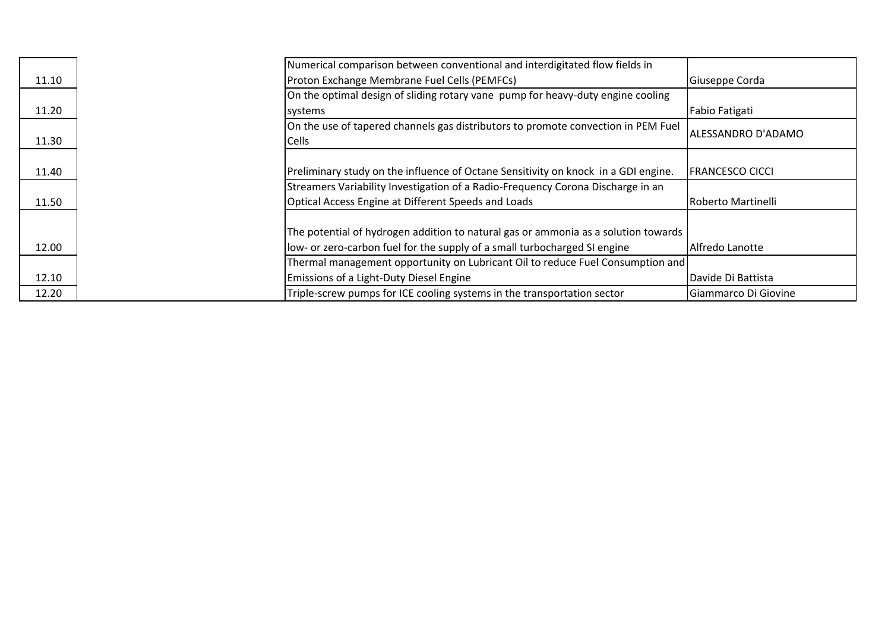|       | Numerical comparison between conventional and interdigitated flow fields in                       |                           |
|-------|---------------------------------------------------------------------------------------------------|---------------------------|
| 11.10 | Proton Exchange Membrane Fuel Cells (PEMFCs)                                                      | Giuseppe Corda            |
|       | On the optimal design of sliding rotary vane pump for heavy-duty engine cooling                   |                           |
| 11.20 | systems                                                                                           | Fabio Fatigati            |
| 11.30 | On the use of tapered channels gas distributors to promote convection in PEM Fuel<br><b>Cells</b> | ALESSANDRO D'ADAMO        |
|       |                                                                                                   |                           |
| 11.40 | Preliminary study on the influence of Octane Sensitivity on knock in a GDI engine.                | <b>FRANCESCO CICCI</b>    |
|       | Streamers Variability Investigation of a Radio-Frequency Corona Discharge in an                   |                           |
| 11.50 | Optical Access Engine at Different Speeds and Loads                                               | <b>Roberto Martinelli</b> |
|       |                                                                                                   |                           |
|       | The potential of hydrogen addition to natural gas or ammonia as a solution towards                |                           |
| 12.00 | low- or zero-carbon fuel for the supply of a small turbocharged SI engine                         | Alfredo Lanotte           |
|       | Thermal management opportunity on Lubricant Oil to reduce Fuel Consumption and                    |                           |
| 12.10 | Emissions of a Light-Duty Diesel Engine                                                           | Davide Di Battista        |
| 12.20 | Triple-screw pumps for ICE cooling systems in the transportation sector                           | Giammarco Di Giovine      |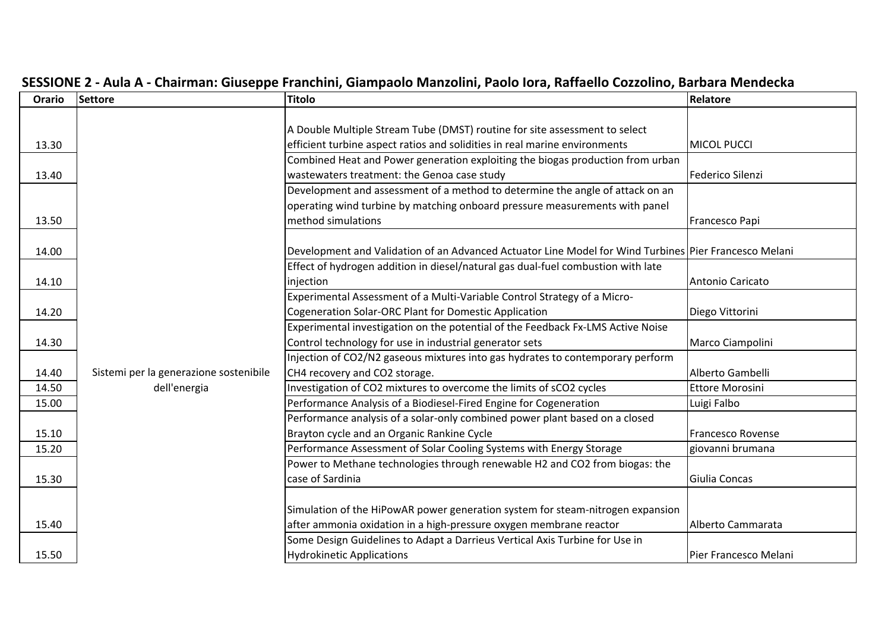| Orario | <b>Settore</b>                         | <b>Titolo</b>                                                                                         | Relatore                 |
|--------|----------------------------------------|-------------------------------------------------------------------------------------------------------|--------------------------|
|        |                                        |                                                                                                       |                          |
|        |                                        | A Double Multiple Stream Tube (DMST) routine for site assessment to select                            |                          |
| 13.30  |                                        | efficient turbine aspect ratios and solidities in real marine environments                            | <b>MICOL PUCCI</b>       |
|        |                                        | Combined Heat and Power generation exploiting the biogas production from urban                        |                          |
| 13.40  |                                        | wastewaters treatment: the Genoa case study                                                           | Federico Silenzi         |
|        |                                        | Development and assessment of a method to determine the angle of attack on an                         |                          |
|        |                                        | operating wind turbine by matching onboard pressure measurements with panel                           |                          |
| 13.50  |                                        | method simulations                                                                                    | Francesco Papi           |
|        |                                        |                                                                                                       |                          |
| 14.00  |                                        | Development and Validation of an Advanced Actuator Line Model for Wind Turbines Pier Francesco Melani |                          |
|        |                                        | Effect of hydrogen addition in diesel/natural gas dual-fuel combustion with late                      |                          |
| 14.10  |                                        | injection                                                                                             | Antonio Caricato         |
|        |                                        | Experimental Assessment of a Multi-Variable Control Strategy of a Micro-                              |                          |
| 14.20  |                                        | Cogeneration Solar-ORC Plant for Domestic Application                                                 | Diego Vittorini          |
|        |                                        | Experimental investigation on the potential of the Feedback Fx-LMS Active Noise                       |                          |
| 14.30  |                                        | Control technology for use in industrial generator sets                                               | Marco Ciampolini         |
|        |                                        | Injection of CO2/N2 gaseous mixtures into gas hydrates to contemporary perform                        |                          |
| 14.40  | Sistemi per la generazione sostenibile | CH4 recovery and CO2 storage.                                                                         | Alberto Gambelli         |
| 14.50  | dell'energia                           | Investigation of CO2 mixtures to overcome the limits of sCO2 cycles                                   | <b>Ettore Morosini</b>   |
| 15.00  |                                        | Performance Analysis of a Biodiesel-Fired Engine for Cogeneration                                     | Luigi Falbo              |
|        |                                        | Performance analysis of a solar-only combined power plant based on a closed                           |                          |
| 15.10  |                                        | Brayton cycle and an Organic Rankine Cycle                                                            | <b>Francesco Rovense</b> |
| 15.20  |                                        | Performance Assessment of Solar Cooling Systems with Energy Storage                                   | giovanni brumana         |
|        |                                        | Power to Methane technologies through renewable H2 and CO2 from biogas: the                           |                          |
| 15.30  |                                        | case of Sardinia                                                                                      | Giulia Concas            |
|        |                                        |                                                                                                       |                          |
|        |                                        | Simulation of the HiPowAR power generation system for steam-nitrogen expansion                        |                          |
| 15.40  |                                        | after ammonia oxidation in a high-pressure oxygen membrane reactor                                    | Alberto Cammarata        |
|        |                                        | Some Design Guidelines to Adapt a Darrieus Vertical Axis Turbine for Use in                           |                          |
| 15.50  |                                        | <b>Hydrokinetic Applications</b>                                                                      | Pier Francesco Melani    |

## SESSIONE 2 - Aula A - Chairman: Giuseppe Franchini, Giampaolo Manzolini, Paolo Iora, Raffaello Cozzolino, Barbara Mendecka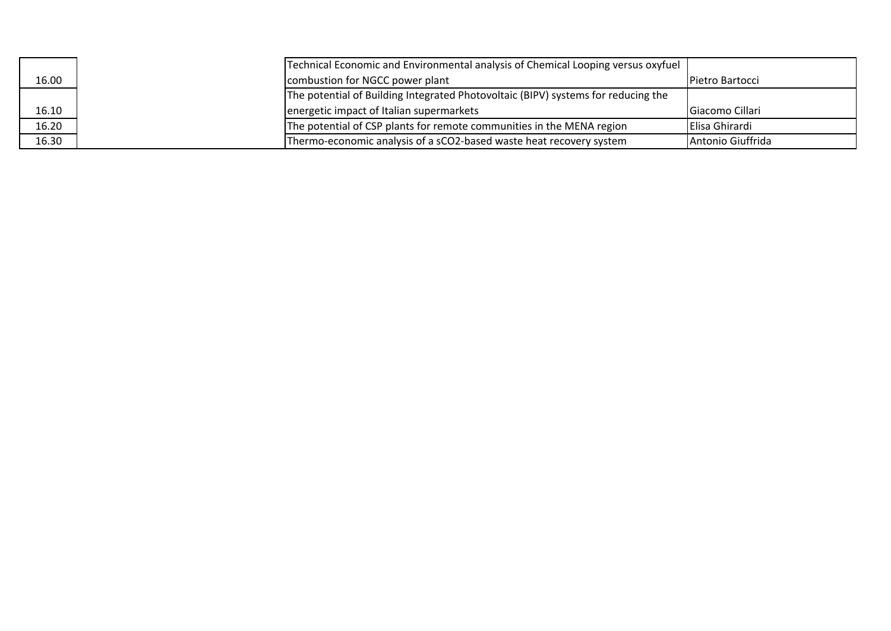|       | Technical Economic and Environmental analysis of Chemical Looping versus oxyfuel  |                        |
|-------|-----------------------------------------------------------------------------------|------------------------|
| 16.00 | combustion for NGCC power plant                                                   | <b>Pietro Bartocci</b> |
|       | The potential of Building Integrated Photovoltaic (BIPV) systems for reducing the |                        |
| 16.10 | energetic impact of Italian supermarkets                                          | Giacomo Cillari        |
| 16.20 | The potential of CSP plants for remote communities in the MENA region             | <b>IElisa Ghirardi</b> |
| 16.30 | Thermo-economic analysis of a sCO2-based waste heat recovery system               | Antonio Giuffrida      |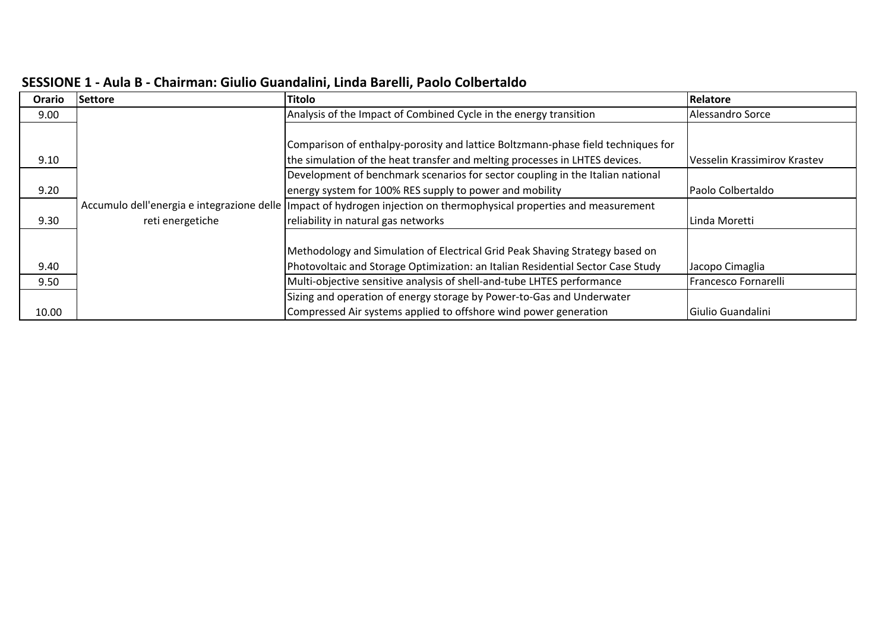| Orario | <b>Settore</b>   | <b>Titolo</b>                                                                                                         | Relatore                     |
|--------|------------------|-----------------------------------------------------------------------------------------------------------------------|------------------------------|
| 9.00   |                  | Analysis of the Impact of Combined Cycle in the energy transition                                                     | Alessandro Sorce             |
|        |                  |                                                                                                                       |                              |
|        |                  | Comparison of enthalpy-porosity and lattice Boltzmann-phase field techniques for                                      |                              |
| 9.10   |                  | the simulation of the heat transfer and melting processes in LHTES devices.                                           | Vesselin Krassimirov Krastev |
|        |                  | Development of benchmark scenarios for sector coupling in the Italian national                                        |                              |
| 9.20   |                  | energy system for 100% RES supply to power and mobility                                                               | Paolo Colbertaldo            |
|        |                  | Accumulo dell'energia e integrazione delle limpact of hydrogen injection on thermophysical properties and measurement |                              |
| 9.30   | reti energetiche | reliability in natural gas networks                                                                                   | Linda Moretti                |
|        |                  |                                                                                                                       |                              |
|        |                  | Methodology and Simulation of Electrical Grid Peak Shaving Strategy based on                                          |                              |
| 9.40   |                  | Photovoltaic and Storage Optimization: an Italian Residential Sector Case Study                                       | Jacopo Cimaglia              |
| 9.50   |                  | Multi-objective sensitive analysis of shell-and-tube LHTES performance                                                | Francesco Fornarelli         |
|        |                  | Sizing and operation of energy storage by Power-to-Gas and Underwater                                                 |                              |
| 10.00  |                  | Compressed Air systems applied to offshore wind power generation                                                      | Giulio Guandalini            |

### **SESSIONE 1 ‐ Aula B ‐ Chairman: Giulio Guandalini, Linda Barelli, Paolo Colbertaldo**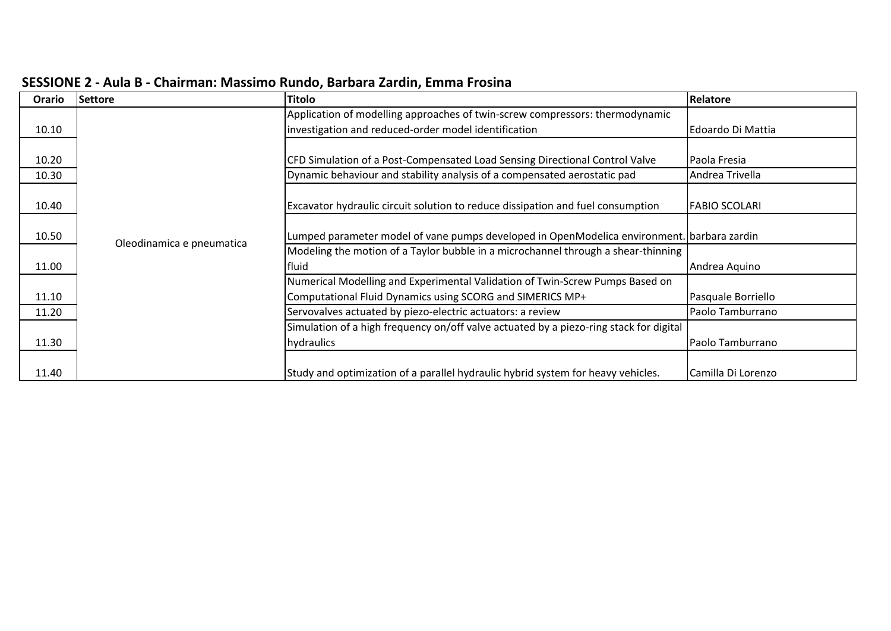| <b>Orario</b> | Settore                   | <b>Titolo</b>                                                                              | Relatore            |
|---------------|---------------------------|--------------------------------------------------------------------------------------------|---------------------|
|               |                           | Application of modelling approaches of twin-screw compressors: thermodynamic               |                     |
| 10.10         |                           | investigation and reduced-order model identification                                       | Edoardo Di Mattia   |
|               |                           |                                                                                            |                     |
| 10.20         |                           | CFD Simulation of a Post-Compensated Load Sensing Directional Control Valve                | <b>Paola Fresia</b> |
| 10.30         |                           | Dynamic behaviour and stability analysis of a compensated aerostatic pad                   | Andrea Trivella     |
|               |                           |                                                                                            |                     |
| 10.40         |                           | Excavator hydraulic circuit solution to reduce dissipation and fuel consumption            | IFABIO SCOLARI      |
|               |                           |                                                                                            |                     |
| 10.50         | Oleodinamica e pneumatica | Lumped parameter model of vane pumps developed in OpenModelica environment. Darbara zardin |                     |
|               |                           | Modeling the motion of a Taylor bubble in a microchannel through a shear-thinning          |                     |
| 11.00         |                           | fluid                                                                                      | Andrea Aquino       |
|               |                           | Numerical Modelling and Experimental Validation of Twin-Screw Pumps Based on               |                     |
| 11.10         |                           | Computational Fluid Dynamics using SCORG and SIMERICS MP+                                  | Pasquale Borriello  |
| 11.20         |                           | Servovalves actuated by piezo-electric actuators: a review                                 | Paolo Tamburrano    |
|               |                           | Simulation of a high frequency on/off valve actuated by a piezo-ring stack for digital     |                     |
| 11.30         |                           | hydraulics                                                                                 | Paolo Tamburrano    |
|               |                           |                                                                                            |                     |
| 11.40         |                           | Study and optimization of a parallel hydraulic hybrid system for heavy vehicles.           | Camilla Di Lorenzo  |

#### **SESSIONE 2 ‐ Aula B ‐ Chairman: Massimo Rundo, Barbara Zardin, Emma Frosina**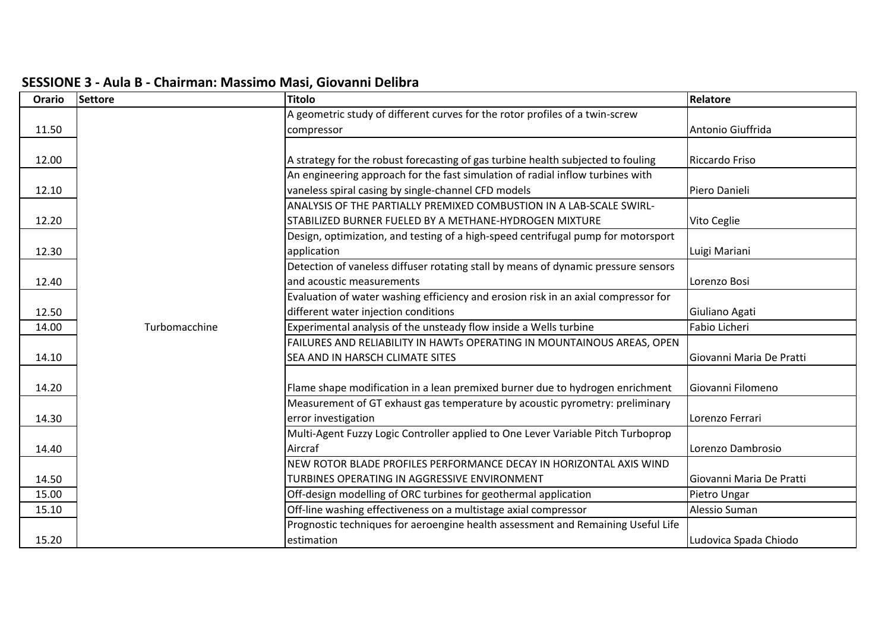| Orario | <b>Settore</b> | <b>Titolo</b>                                                                      | Relatore                 |
|--------|----------------|------------------------------------------------------------------------------------|--------------------------|
|        |                | A geometric study of different curves for the rotor profiles of a twin-screw       |                          |
| 11.50  |                | compressor                                                                         | Antonio Giuffrida        |
|        |                |                                                                                    |                          |
| 12.00  |                | A strategy for the robust forecasting of gas turbine health subjected to fouling   | Riccardo Friso           |
|        |                | An engineering approach for the fast simulation of radial inflow turbines with     |                          |
| 12.10  |                | vaneless spiral casing by single-channel CFD models                                | Piero Danieli            |
|        |                | ANALYSIS OF THE PARTIALLY PREMIXED COMBUSTION IN A LAB-SCALE SWIRL-                |                          |
| 12.20  |                | STABILIZED BURNER FUELED BY A METHANE-HYDROGEN MIXTURE                             | Vito Ceglie              |
|        |                | Design, optimization, and testing of a high-speed centrifugal pump for motorsport  |                          |
| 12.30  |                | application                                                                        | Luigi Mariani            |
|        |                | Detection of vaneless diffuser rotating stall by means of dynamic pressure sensors |                          |
| 12.40  |                | and acoustic measurements                                                          | Lorenzo Bosi             |
|        |                | Evaluation of water washing efficiency and erosion risk in an axial compressor for |                          |
| 12.50  |                | different water injection conditions                                               | Giuliano Agati           |
| 14.00  | Turbomacchine  | Experimental analysis of the unsteady flow inside a Wells turbine                  | Fabio Licheri            |
|        |                | FAILURES AND RELIABILITY IN HAWTs OPERATING IN MOUNTAINOUS AREAS, OPEN             |                          |
| 14.10  |                | SEA AND IN HARSCH CLIMATE SITES                                                    | Giovanni Maria De Pratti |
|        |                |                                                                                    |                          |
| 14.20  |                | Flame shape modification in a lean premixed burner due to hydrogen enrichment      | Giovanni Filomeno        |
|        |                | Measurement of GT exhaust gas temperature by acoustic pyrometry: preliminary       |                          |
| 14.30  |                | error investigation                                                                | Lorenzo Ferrari          |
|        |                | Multi-Agent Fuzzy Logic Controller applied to One Lever Variable Pitch Turboprop   |                          |
| 14.40  |                | Aircraf                                                                            | Lorenzo Dambrosio        |
|        |                | NEW ROTOR BLADE PROFILES PERFORMANCE DECAY IN HORIZONTAL AXIS WIND                 |                          |
| 14.50  |                | TURBINES OPERATING IN AGGRESSIVE ENVIRONMENT                                       | Giovanni Maria De Pratti |
| 15.00  |                | Off-design modelling of ORC turbines for geothermal application                    | Pietro Ungar             |
| 15.10  |                | Off-line washing effectiveness on a multistage axial compressor                    | Alessio Suman            |
|        |                | Prognostic techniques for aeroengine health assessment and Remaining Useful Life   |                          |
| 15.20  |                | estimation                                                                         | Ludovica Spada Chiodo    |

## **SESSIONE 3 ‐ Aula B ‐ Chairman: Massimo Masi, Giovanni Delibra**